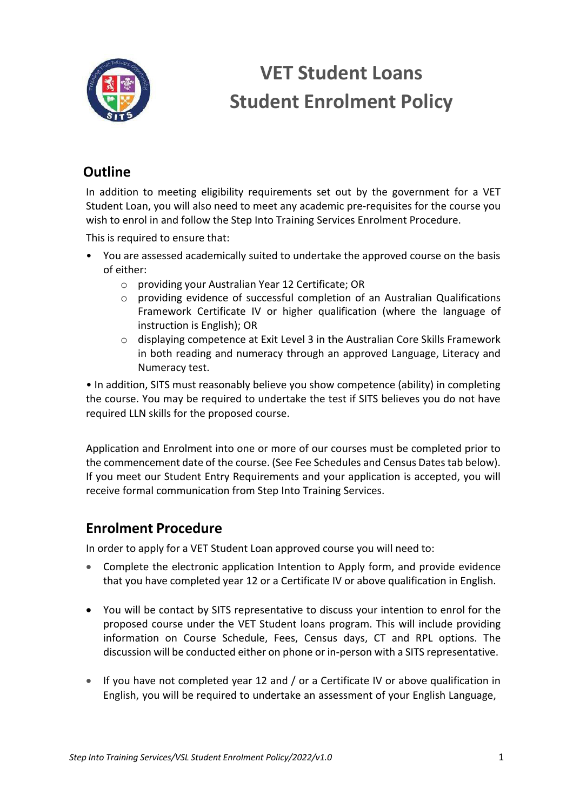

### **Outline**

In addition to meeting eligibility requirements set out by the government for a VET Student Loan, you will also need to meet any academic pre-requisites for the course you wish to enrol in and follow the Step Into Training Services Enrolment Procedure.

This is required to ensure that:

- You are assessed academically suited to undertake the approved course on the basis of either:
	- o providing your Australian Year 12 Certificate; OR
	- o providing evidence of successful completion of an Australian Qualifications Framework Certificate IV or higher qualification (where the language of instruction is English); OR
	- o displaying competence at Exit Level 3 in the Australian Core Skills Framework in both reading and numeracy through an approved Language, Literacy and Numeracy test.

• In addition, SITS must reasonably believe you show competence (ability) in completing the course. You may be required to undertake the test if SITS believes you do not have required LLN skills for the proposed course.

Application and Enrolment into one or more of our courses must be completed prior to the commencement date of the course. (See Fee Schedules and Census Dates tab below). If you meet our Student Entry Requirements and your application is accepted, you will receive formal communication from Step Into Training Services.

### **Enrolment Procedure**

In order to apply for a VET Student Loan approved course you will need to:

- Complete the electronic application Intention to Apply form, and provide evidence that you have completed year 12 or a Certificate IV or above qualification in English.
- You will be contact by SITS representative to discuss your intention to enrol for the proposed course under the VET Student loans program. This will include providing information on Course Schedule, Fees, Census days, CT and RPL options. The discussion will be conducted either on phone or in-person with a SITS representative.
- If you have not completed year 12 and / or a Certificate IV or above qualification in English, you will be required to undertake an assessment of your English Language,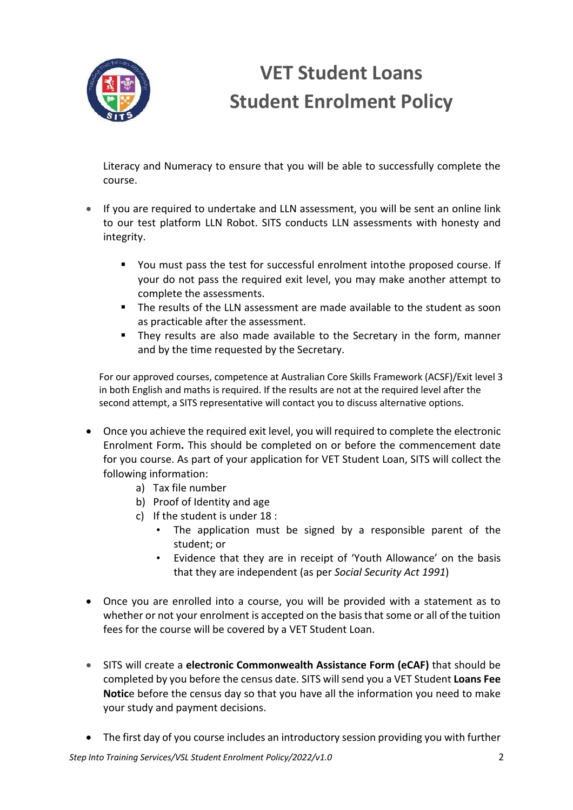

Literacy and Numeracy to ensure that you will be able to successfully complete the course.

- If you are required to undertake and LLN assessment, you will be sent an online link to our test platform LLN Robot. SITS conducts LLN assessments with honesty and integrity.
	- § You must pass the test for successful enrolment intothe proposed course. If your do not pass the required exit level, you may make another attempt to complete the assessments.
	- § The results of the LLN assessment are made available to the student as soon as practicable after the assessment.
	- They results are also made available to the Secretary in the form, manner and by the time requested by the Secretary.

For our approved courses, competence at Australian Core Skills Framework (ACSF)/Exit level 3 in both English and maths is required. If the results are not at the required level after the second attempt, a SITS representative will contact you to discuss alternative options.

- Once you achieve the required exit level, you will required to complete the electronic Enrolment Form**.** This should be completed on or before the commencement date for you course. As part of your application for VET Student Loan, SITS will collect the following information:
	- a) Tax file number
	- b) Proof of Identity and age
	- c) If the student is under 18 :
		- The application must be signed by a responsible parent of the student; or
		- Evidence that they are in receipt of 'Youth Allowance' on the basis that they are independent (as per *Social Security Act 1991*)
- Once you are enrolled into a course, you will be provided with a statement as to whether or not your enrolment is accepted on the basis that some or all of the tuition fees for the course will be covered by a VET Student Loan.
- SITS will create a **electronic Commonwealth Assistance Form (eCAF)** that should be completed by you before the census date. SITS will send you a VET Student **Loans Fee Notic**e before the census day so that you have all the information you need to make your study and payment decisions.
- The first day of you course includes an introductory session providing you with further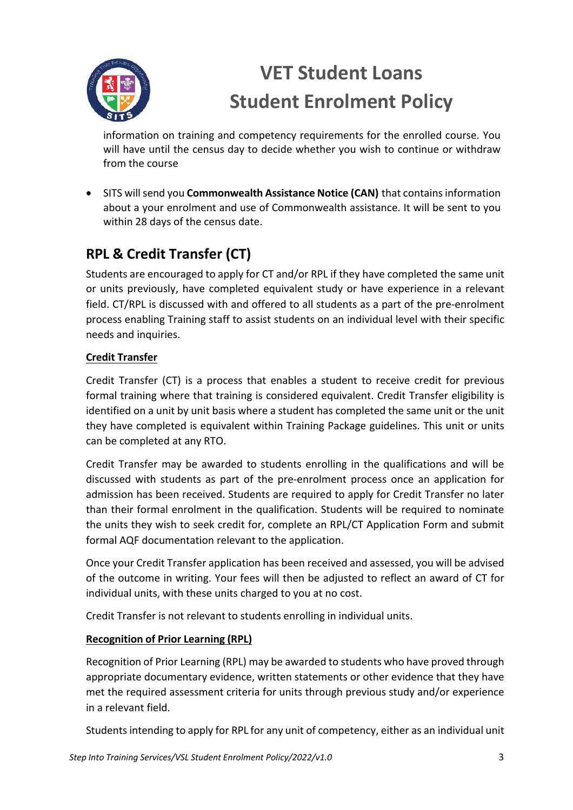

information on training and competency requirements for the enrolled course. You will have until the census day to decide whether you wish to continue or withdraw from the course

• SITS willsend you **Commonwealth Assistance Notice (CAN)** that containsinformation about a your enrolment and use of Commonwealth assistance. It will be sent to you within 28 days of the census date.

## **RPL & Credit Transfer (CT)**

Students are encouraged to apply for CT and/or RPL if they have completed the same unit or units previously, have completed equivalent study or have experience in a relevant field. CT/RPL is discussed with and offered to all students as a part of the pre-enrolment process enabling Training staff to assist students on an individual level with their specific needs and inquiries.

### **Credit Transfer**

Credit Transfer (CT) is a process that enables a student to receive credit for previous formal training where that training is considered equivalent. Credit Transfer eligibility is identified on a unit by unit basis where a student has completed the same unit or the unit they have completed is equivalent within Training Package guidelines. This unit or units can be completed at any RTO.

Credit Transfer may be awarded to students enrolling in the qualifications and will be discussed with students as part of the pre-enrolment process once an application for admission has been received. Students are required to apply for Credit Transfer no later than their formal enrolment in the qualification. Students will be required to nominate the units they wish to seek credit for, complete an RPL/CT Application Form and submit formal AQF documentation relevant to the application.

Once your Credit Transfer application has been received and assessed, you will be advised of the outcome in writing. Your fees will then be adjusted to reflect an award of CT for individual units, with these units charged to you at no cost.

Credit Transfer is not relevant to students enrolling in individual units.

### **Recognition of Prior Learning (RPL)**

Recognition of Prior Learning (RPL) may be awarded to students who have proved through appropriate documentary evidence, written statements or other evidence that they have met the required assessment criteria for units through previous study and/or experience in a relevant field.

Students intending to apply for RPL for any unit of competency, either as an individual unit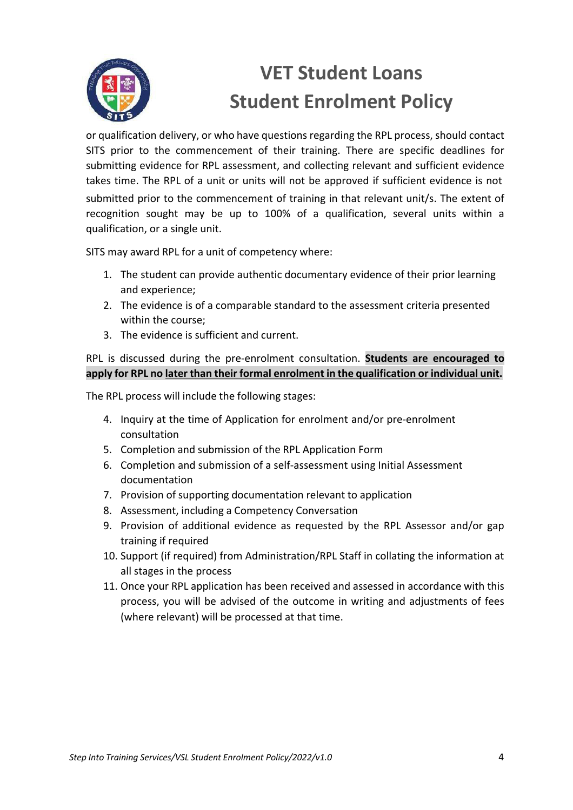

or qualification delivery, or who have questions regarding the RPL process, should contact SITS prior to the commencement of their training. There are specific deadlines for submitting evidence for RPL assessment, and collecting relevant and sufficient evidence takes time. The RPL of a unit or units will not be approved if sufficient evidence is not submitted prior to the commencement of training in that relevant unit/s. The extent of recognition sought may be up to 100% of a qualification, several units within a qualification, or a single unit.

SITS may award RPL for a unit of competency where:

- 1. The student can provide authentic documentary evidence of their prior learning and experience;
- 2. The evidence is of a comparable standard to the assessment criteria presented within the course;
- 3. The evidence is sufficient and current.

#### RPL is discussed during the pre-enrolment consultation. **Students are encouraged to apply for RPL no later than their formal enrolment in the qualification or individual unit.**

The RPL process will include the following stages:

- 4. Inquiry at the time of Application for enrolment and/or pre-enrolment consultation
- 5. Completion and submission of the RPL Application Form
- 6. Completion and submission of a self-assessment using Initial Assessment documentation
- 7. Provision of supporting documentation relevant to application
- 8. Assessment, including a Competency Conversation
- 9. Provision of additional evidence as requested by the RPL Assessor and/or gap training if required
- 10. Support (if required) from Administration/RPL Staff in collating the information at all stages in the process
- 11. Once your RPL application has been received and assessed in accordance with this process, you will be advised of the outcome in writing and adjustments of fees (where relevant) will be processed at that time.